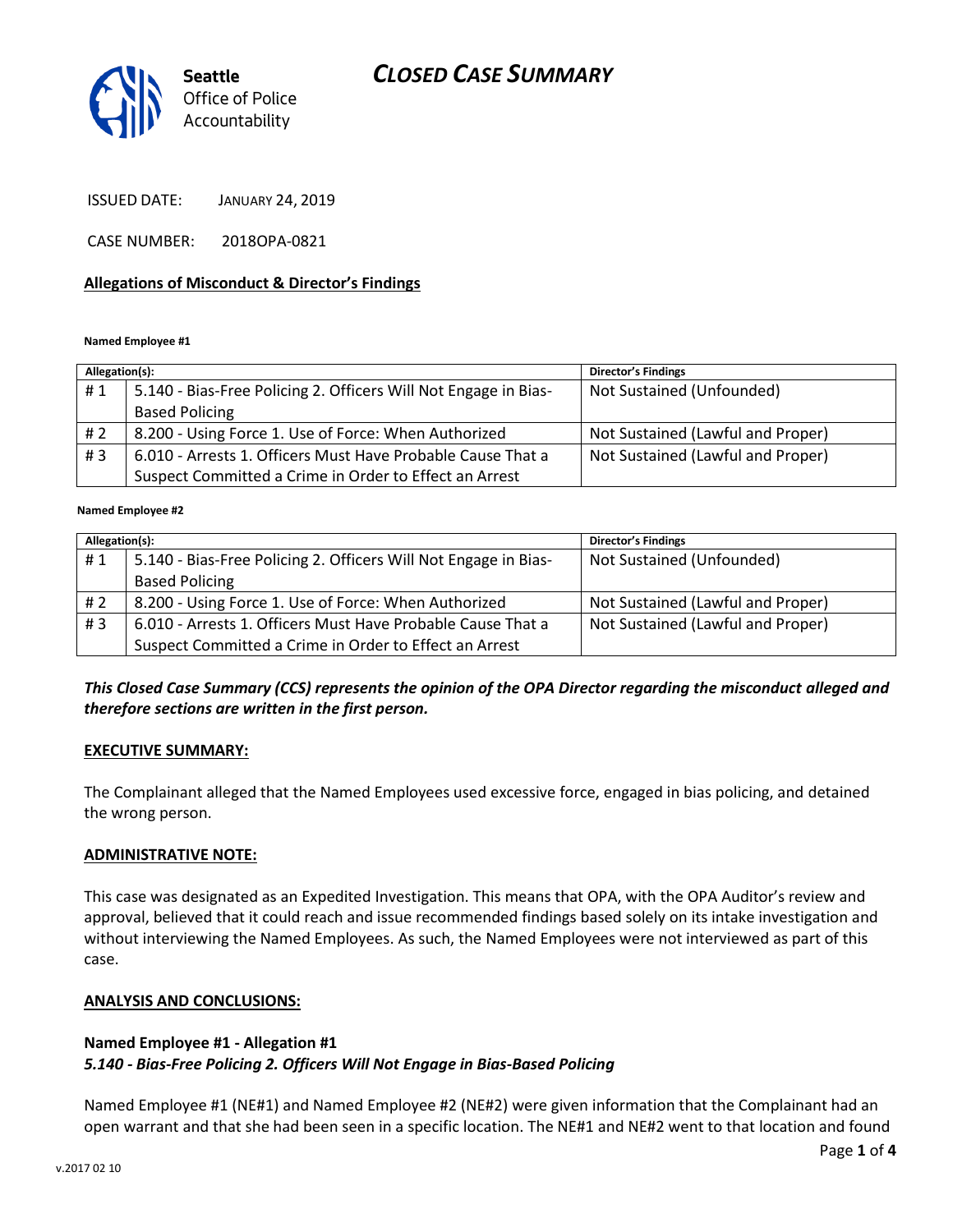# *CLOSED CASE SUMMARY*



ISSUED DATE: JANUARY 24, 2019

CASE NUMBER: 2018OPA-0821

#### **Allegations of Misconduct & Director's Findings**

#### **Named Employee #1**

| Allegation(s): |                                                                 | <b>Director's Findings</b>        |
|----------------|-----------------------------------------------------------------|-----------------------------------|
| #1             | 5.140 - Bias-Free Policing 2. Officers Will Not Engage in Bias- | Not Sustained (Unfounded)         |
|                | <b>Based Policing</b>                                           |                                   |
| #2             | 8.200 - Using Force 1. Use of Force: When Authorized            | Not Sustained (Lawful and Proper) |
| #3             | 6.010 - Arrests 1. Officers Must Have Probable Cause That a     | Not Sustained (Lawful and Proper) |
|                | Suspect Committed a Crime in Order to Effect an Arrest          |                                   |

#### ؚ<br>ا **Named Employee #2**

| Allegation(s): |                                                                 | <b>Director's Findings</b>        |
|----------------|-----------------------------------------------------------------|-----------------------------------|
| #1             | 5.140 - Bias-Free Policing 2. Officers Will Not Engage in Bias- | Not Sustained (Unfounded)         |
|                | <b>Based Policing</b>                                           |                                   |
| # 2            | 8.200 - Using Force 1. Use of Force: When Authorized            | Not Sustained (Lawful and Proper) |
| #3             | 6.010 - Arrests 1. Officers Must Have Probable Cause That a     | Not Sustained (Lawful and Proper) |
|                | Suspect Committed a Crime in Order to Effect an Arrest          |                                   |

## *This Closed Case Summary (CCS) represents the opinion of the OPA Director regarding the misconduct alleged and therefore sections are written in the first person.*

#### **EXECUTIVE SUMMARY:**

The Complainant alleged that the Named Employees used excessive force, engaged in bias policing, and detained the wrong person.

#### **ADMINISTRATIVE NOTE:**

This case was designated as an Expedited Investigation. This means that OPA, with the OPA Auditor's review and approval, believed that it could reach and issue recommended findings based solely on its intake investigation and without interviewing the Named Employees. As such, the Named Employees were not interviewed as part of this case.

#### **ANALYSIS AND CONCLUSIONS:**

### **Named Employee #1 - Allegation #1** *5.140 - Bias-Free Policing 2. Officers Will Not Engage in Bias-Based Policing*

Named Employee #1 (NE#1) and Named Employee #2 (NE#2) were given information that the Complainant had an open warrant and that she had been seen in a specific location. The NE#1 and NE#2 went to that location and found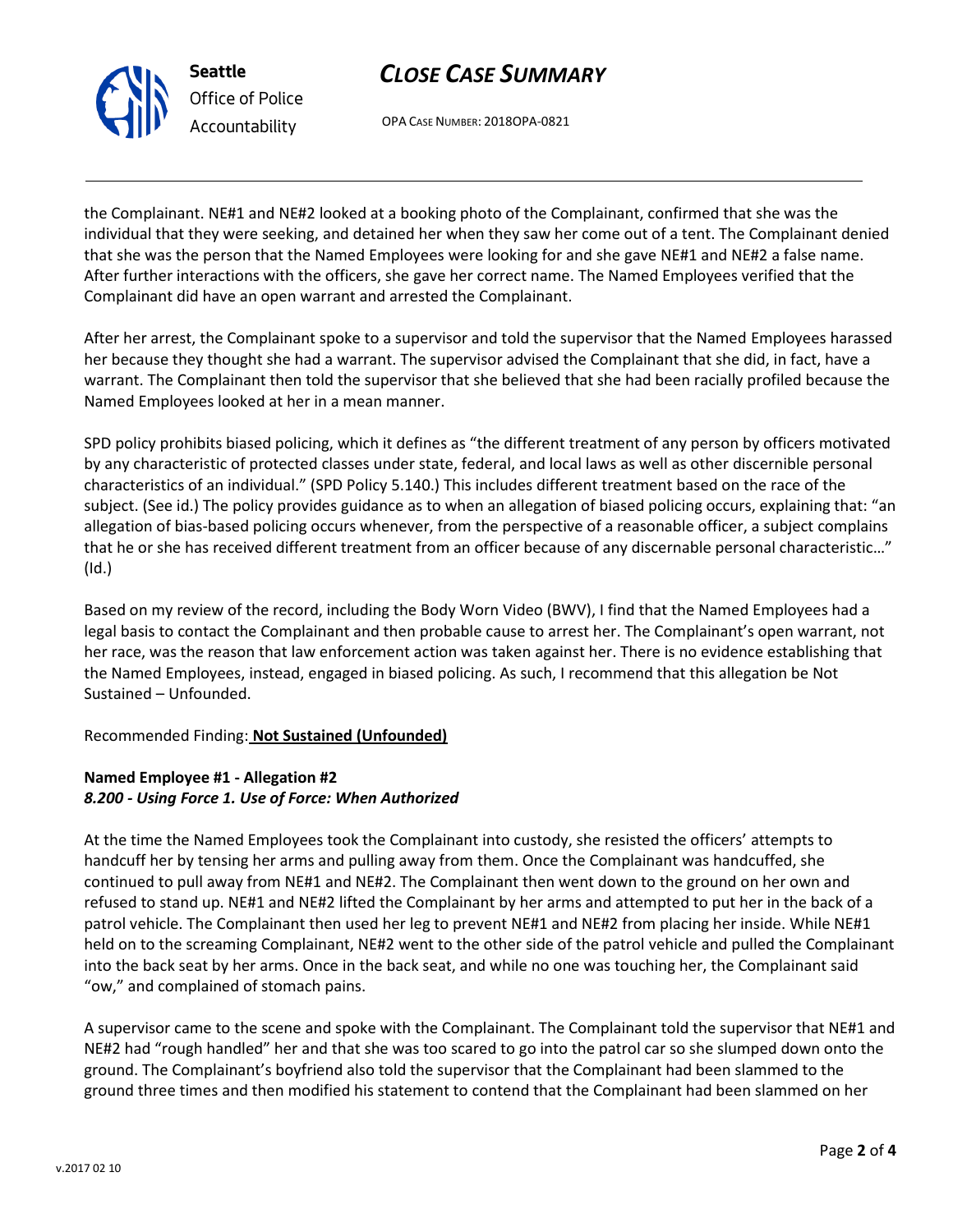# *CLOSE CASE SUMMARY*

OPA CASE NUMBER: 2018OPA-0821

the Complainant. NE#1 and NE#2 looked at a booking photo of the Complainant, confirmed that she was the individual that they were seeking, and detained her when they saw her come out of a tent. The Complainant denied that she was the person that the Named Employees were looking for and she gave NE#1 and NE#2 a false name. After further interactions with the officers, she gave her correct name. The Named Employees verified that the Complainant did have an open warrant and arrested the Complainant.

After her arrest, the Complainant spoke to a supervisor and told the supervisor that the Named Employees harassed her because they thought she had a warrant. The supervisor advised the Complainant that she did, in fact, have a warrant. The Complainant then told the supervisor that she believed that she had been racially profiled because the Named Employees looked at her in a mean manner.

SPD policy prohibits biased policing, which it defines as "the different treatment of any person by officers motivated by any characteristic of protected classes under state, federal, and local laws as well as other discernible personal characteristics of an individual." (SPD Policy 5.140.) This includes different treatment based on the race of the subject. (See id.) The policy provides guidance as to when an allegation of biased policing occurs, explaining that: "an allegation of bias-based policing occurs whenever, from the perspective of a reasonable officer, a subject complains that he or she has received different treatment from an officer because of any discernable personal characteristic…" (Id.)

Based on my review of the record, including the Body Worn Video (BWV), I find that the Named Employees had a legal basis to contact the Complainant and then probable cause to arrest her. The Complainant's open warrant, not her race, was the reason that law enforcement action was taken against her. There is no evidence establishing that the Named Employees, instead, engaged in biased policing. As such, I recommend that this allegation be Not Sustained – Unfounded.

## Recommended Finding: **Not Sustained (Unfounded)**

## **Named Employee #1 - Allegation #2** *8.200 - Using Force 1. Use of Force: When Authorized*

At the time the Named Employees took the Complainant into custody, she resisted the officers' attempts to handcuff her by tensing her arms and pulling away from them. Once the Complainant was handcuffed, she continued to pull away from NE#1 and NE#2. The Complainant then went down to the ground on her own and refused to stand up. NE#1 and NE#2 lifted the Complainant by her arms and attempted to put her in the back of a patrol vehicle. The Complainant then used her leg to prevent NE#1 and NE#2 from placing her inside. While NE#1 held on to the screaming Complainant, NE#2 went to the other side of the patrol vehicle and pulled the Complainant into the back seat by her arms. Once in the back seat, and while no one was touching her, the Complainant said "ow," and complained of stomach pains.

A supervisor came to the scene and spoke with the Complainant. The Complainant told the supervisor that NE#1 and NE#2 had "rough handled" her and that she was too scared to go into the patrol car so she slumped down onto the ground. The Complainant's boyfriend also told the supervisor that the Complainant had been slammed to the ground three times and then modified his statement to contend that the Complainant had been slammed on her



**Seattle** *Office of Police Accountability*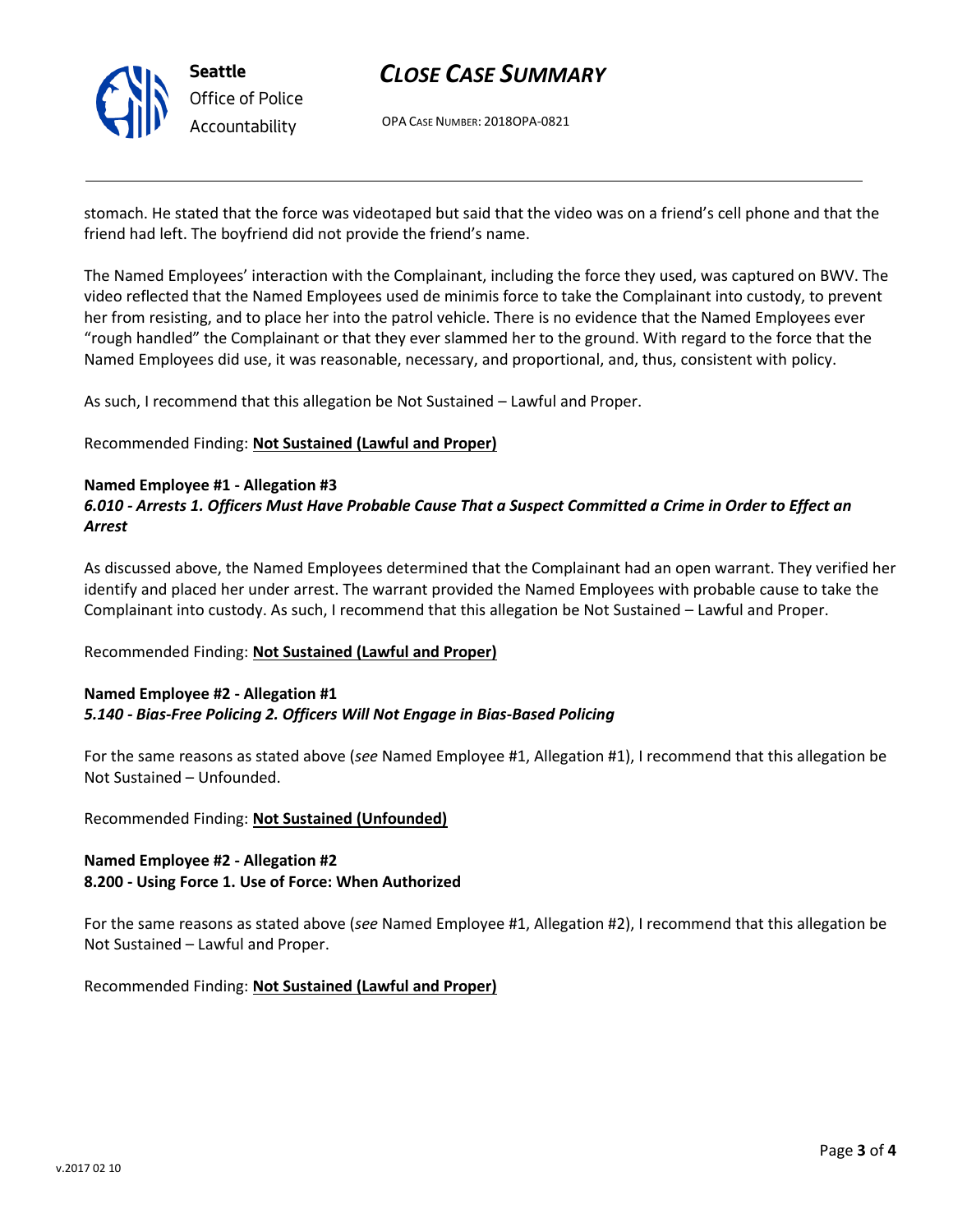

# *CLOSE CASE SUMMARY*

OPA CASE NUMBER: 2018OPA-0821

stomach. He stated that the force was videotaped but said that the video was on a friend's cell phone and that the friend had left. The boyfriend did not provide the friend's name.

The Named Employees' interaction with the Complainant, including the force they used, was captured on BWV. The video reflected that the Named Employees used de minimis force to take the Complainant into custody, to prevent her from resisting, and to place her into the patrol vehicle. There is no evidence that the Named Employees ever "rough handled" the Complainant or that they ever slammed her to the ground. With regard to the force that the Named Employees did use, it was reasonable, necessary, and proportional, and, thus, consistent with policy.

As such, I recommend that this allegation be Not Sustained – Lawful and Proper.

Recommended Finding: **Not Sustained (Lawful and Proper)**

### **Named Employee #1 - Allegation #3**

## *6.010 - Arrests 1. Officers Must Have Probable Cause That a Suspect Committed a Crime in Order to Effect an Arrest*

As discussed above, the Named Employees determined that the Complainant had an open warrant. They verified her identify and placed her under arrest. The warrant provided the Named Employees with probable cause to take the Complainant into custody. As such, I recommend that this allegation be Not Sustained – Lawful and Proper.

Recommended Finding: **Not Sustained (Lawful and Proper)**

### **Named Employee #2 - Allegation #1** *5.140 - Bias-Free Policing 2. Officers Will Not Engage in Bias-Based Policing*

For the same reasons as stated above (*see* Named Employee #1, Allegation #1), I recommend that this allegation be Not Sustained – Unfounded.

Recommended Finding: **Not Sustained (Unfounded)**

### **Named Employee #2 - Allegation #2 8.200 - Using Force 1. Use of Force: When Authorized**

For the same reasons as stated above (*see* Named Employee #1, Allegation #2), I recommend that this allegation be Not Sustained – Lawful and Proper.

Recommended Finding: **Not Sustained (Lawful and Proper)**